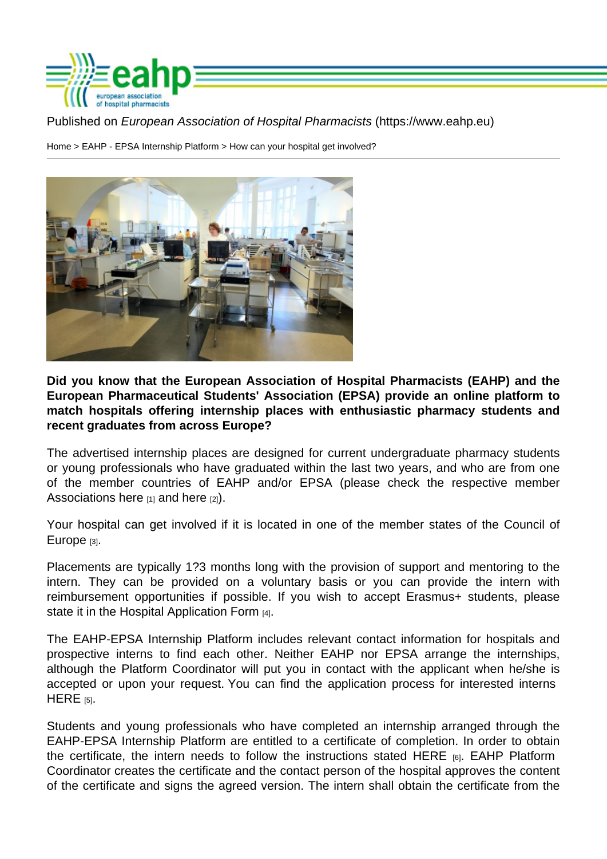Home > EAHP - EPSA Internship Platform > How can your hospital get involved?

Did you know that the European Association of Hospital Pharmacists (EAHP) and the European Pharmaceutical Students' Association (EPSA) provide an online platform to match hospitals offering internship places with enthusiastic pharmacy students and recent graduates from across Europe?

The advertised internship places are designed for current undergraduate pharmacy students or young professionals who have graduated within the last two years, and who are from one of the member countries of EAHP and/or EPSA (please check the respective member Associations here  $[1]$  and here  $[2]$ ).

Your hospital can get involved if it is located in one of the member states of the Council of Europe [3].

Placements are typically 1?3 months long with the provision of support and mentoring to the [intern.](http://www.coe.int/en/web/about-us/our-member-states) They can be provided on a voluntary basis or you can provide the i[ntern with](http://www.coe.int/en/web/about-us/our-member-states)  reimbursement opportunities if possible. If you wish to accept Erasmus+ students, please state it in the Hospital Application Form [4].

The EAHP-EPSA Internship Platform includes relevant contact information for hospitals and prospective interns to find each other. Neither EAHP nor EPSA arrange the internships, although the [Platform Coordinator will](https://www.eahp.eu/sites/default/files/eahp-epsa_internship_platform_-_hospital_application_form_27.06.16_1.pdf) put you in contact with the applicant when he/she is accepted or upon your request. You can find the application process for interested interns  $HERE$  [5].

Students and young professionals who have completed an internship arranged through the [EAHP-](http://www.eahp.eu/students/eahp-epsa-internship-platform/how-apply)EPSA Internship Platform are entitled to a certificate of completion. In order to obtain the certificate, the intern needs to follow the instructions stated HERE [6]. EAHP Platform Coordinator creates the certificate and the contact person of the hospital approves the content of the certificate and signs the agreed version. The intern shall obtain the certificate from the